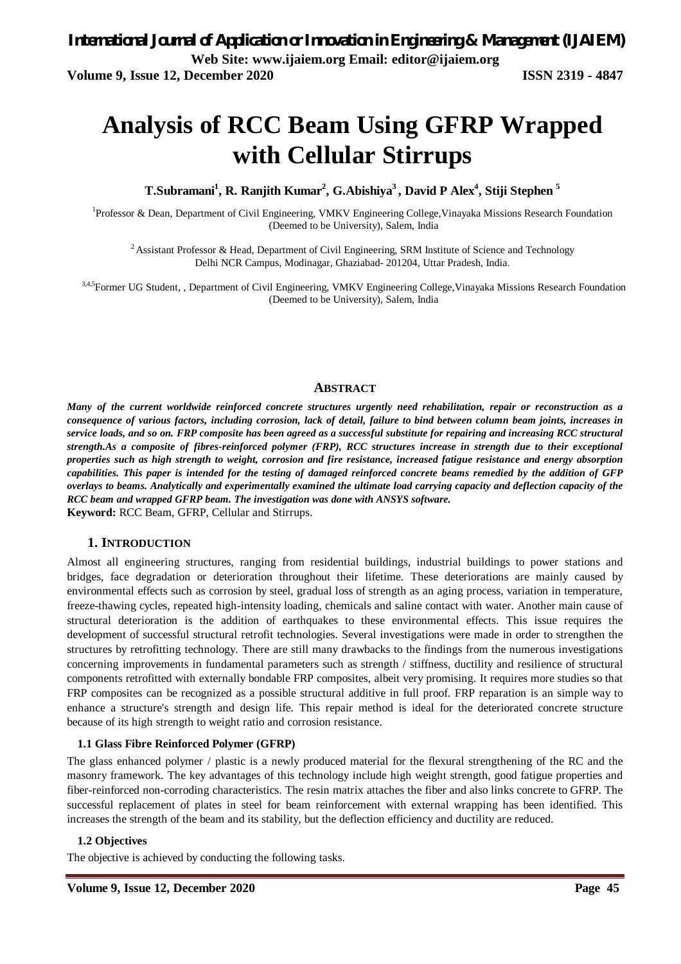# **Analysis of RCC Beam Using GFRP Wrapped with Cellular Stirrups**

**T.Subramani<sup>1</sup> , R. Ranjith Kumar<sup>2</sup> , G.Abishiya<sup>3</sup>, David P Alex<sup>4</sup> , Stiji Stephen <sup>5</sup>**

<sup>1</sup>Professor & Dean, Department of Civil Engineering, VMKV Engineering College, Vinayaka Missions Research Foundation (Deemed to be University), Salem, India

<sup>2</sup> Assistant Professor & Head, Department of Civil Engineering, SRM Institute of Science and Technology Delhi NCR Campus, Modinagar, Ghaziabad- 201204, Uttar Pradesh, India.

3,4,5 Former UG Student, , Department of Civil Engineering, VMKV Engineering College, Vinayaka Missions Research Foundation (Deemed to be University), Salem, India

## **ABSTRACT**

*Many of the current worldwide reinforced concrete structures urgently need rehabilitation, repair or reconstruction as a consequence of various factors, including corrosion, lack of detail, failure to bind between column beam joints, increases in service loads, and so on. FRP composite has been agreed as a successful substitute for repairing and increasing RCC structural strength.As a composite of fibres-reinforced polymer (FRP), RCC structures increase in strength due to their exceptional properties such as high strength to weight, corrosion and fire resistance, increased fatigue resistance and energy absorption capabilities. This paper is intended for the testing of damaged reinforced concrete beams remedied by the addition of GFP overlays to beams. Analytically and experimentally examined the ultimate load carrying capacity and deflection capacity of the RCC beam and wrapped GFRP beam. The investigation was done with ANSYS software.*

**Keyword:** RCC Beam, GFRP, Cellular and Stirrups.

## **1. INTRODUCTION**

Almost all engineering structures, ranging from residential buildings, industrial buildings to power stations and bridges, face degradation or deterioration throughout their lifetime. These deteriorations are mainly caused by environmental effects such as corrosion by steel, gradual loss of strength as an aging process, variation in temperature, freeze-thawing cycles, repeated high-intensity loading, chemicals and saline contact with water. Another main cause of structural deterioration is the addition of earthquakes to these environmental effects. This issue requires the development of successful structural retrofit technologies. Several investigations were made in order to strengthen the structures by retrofitting technology. There are still many drawbacks to the findings from the numerous investigations concerning improvements in fundamental parameters such as strength / stiffness, ductility and resilience of structural components retrofitted with externally bondable FRP composites, albeit very promising. It requires more studies so that FRP composites can be recognized as a possible structural additive in full proof. FRP reparation is an simple way to enhance a structure's strength and design life. This repair method is ideal for the deteriorated concrete structure because of its high strength to weight ratio and corrosion resistance.

## **1.1 Glass Fibre Reinforced Polymer (GFRP)**

The glass enhanced polymer / plastic is a newly produced material for the flexural strengthening of the RC and the masonry framework. The key advantages of this technology include high weight strength, good fatigue properties and fiber-reinforced non-corroding characteristics. The resin matrix attaches the fiber and also links concrete to GFRP. The successful replacement of plates in steel for beam reinforcement with external wrapping has been identified. This increases the strength of the beam and its stability, but the deflection efficiency and ductility are reduced.

### **1.2 Objectives**

The objective is achieved by conducting the following tasks.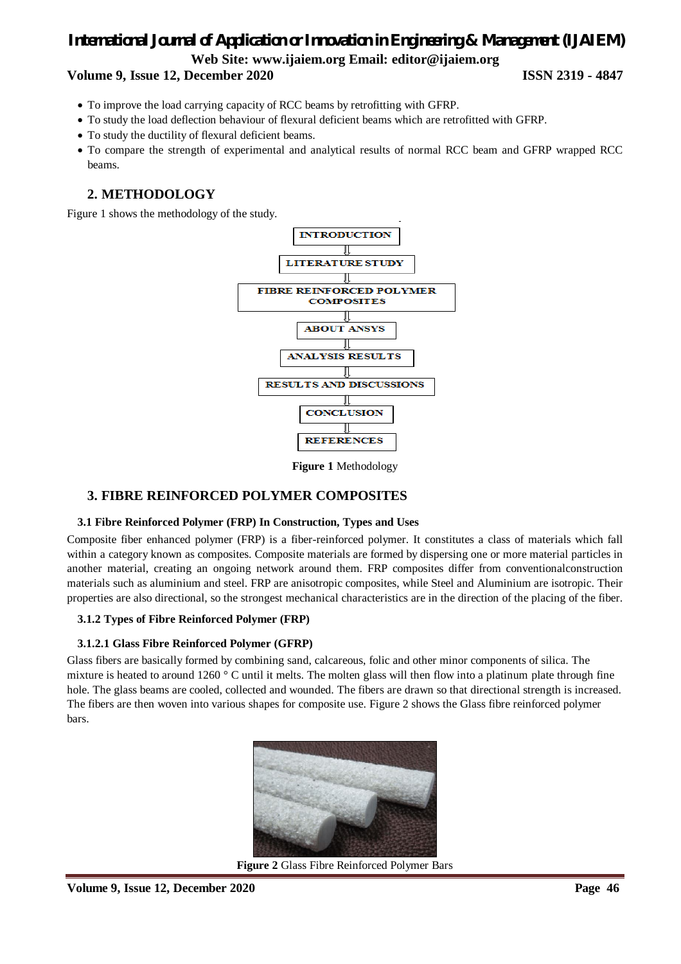## **Volume 9, Issue 12, December 2020 ISSN 2319 - 4847**

- To improve the load carrying capacity of RCC beams by retrofitting with GFRP.
- To study the load deflection behaviour of flexural deficient beams which are retrofitted with GFRP.
- To study the ductility of flexural deficient beams.
- To compare the strength of experimental and analytical results of normal RCC beam and GFRP wrapped RCC beams.

## **2. METHODOLOGY**

Figure 1 shows the methodology of the study.



**Figure 1** Methodology

## **3. FIBRE REINFORCED POLYMER COMPOSITES**

### **3.1 Fibre Reinforced Polymer (FRP) In Construction, Types and Uses**

Composite fiber enhanced polymer (FRP) is a fiber-reinforced polymer. It constitutes a class of materials which fall within a category known as composites. Composite materials are formed by dispersing one or more material particles in another material, creating an ongoing network around them. FRP composites differ from conventionalconstruction materials such as aluminium and steel. FRP are anisotropic composites, while Steel and Aluminium are isotropic. Their properties are also directional, so the strongest mechanical characteristics are in the direction of the placing of the fiber.

## **3.1.2 Types of Fibre Reinforced Polymer (FRP)**

## **3.1.2.1 Glass Fibre Reinforced Polymer (GFRP)**

Glass fibers are basically formed by combining sand, calcareous, folic and other minor components of silica. The mixture is heated to around  $1260\degree$  C until it melts. The molten glass will then flow into a platinum plate through fine hole. The glass beams are cooled, collected and wounded. The fibers are drawn so that directional strength is increased. The fibers are then woven into various shapes for composite use. Figure 2 shows the Glass fibre reinforced polymer bars.



**Figure 2** Glass Fibre Reinforced Polymer Bars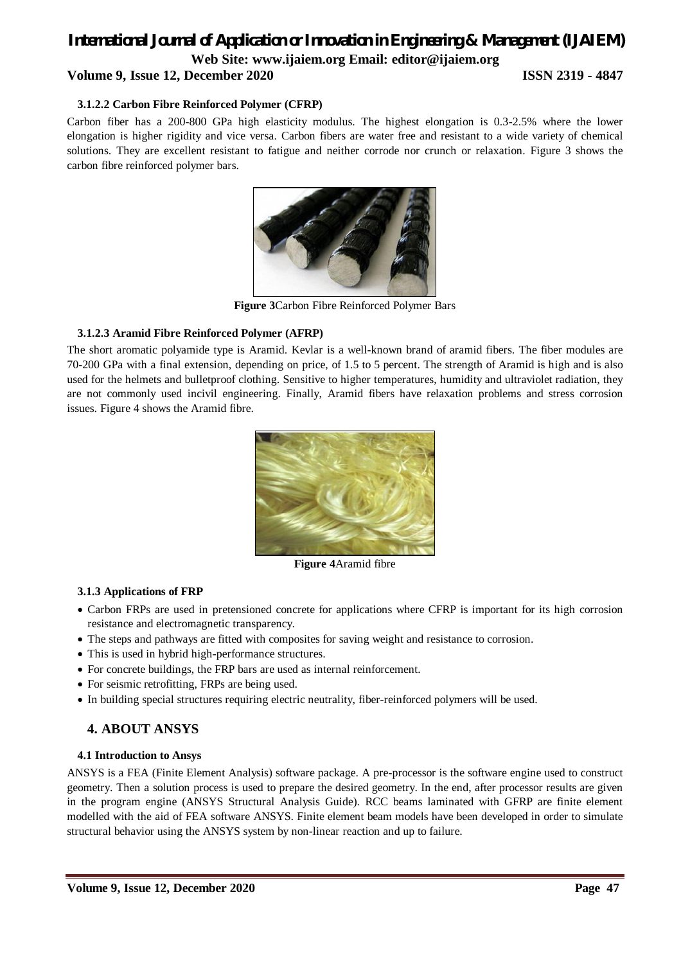## **Volume 9, Issue 12, December 2020 ISSN 2319 - 4847**

### **3.1.2.2 Carbon Fibre Reinforced Polymer (CFRP)**

Carbon fiber has a 200-800 GPa high elasticity modulus. The highest elongation is 0.3-2.5% where the lower elongation is higher rigidity and vice versa. Carbon fibers are water free and resistant to a wide variety of chemical solutions. They are excellent resistant to fatigue and neither corrode nor crunch or relaxation. Figure 3 shows the carbon fibre reinforced polymer bars.



**Figure 3**Carbon Fibre Reinforced Polymer Bars

### **3.1.2.3 Aramid Fibre Reinforced Polymer (AFRP)**

The short aromatic polyamide type is Aramid. Kevlar is a well-known brand of aramid fibers. The fiber modules are 70-200 GPa with a final extension, depending on price, of 1.5 to 5 percent. The strength of Aramid is high and is also used for the helmets and bulletproof clothing. Sensitive to higher temperatures, humidity and ultraviolet radiation, they are not commonly used incivil engineering. Finally, Aramid fibers have relaxation problems and stress corrosion issues. Figure 4 shows the Aramid fibre.



**Figure 4**Aramid fibre

### **3.1.3 Applications of FRP**

- Carbon FRPs are used in pretensioned concrete for applications where CFRP is important for its high corrosion resistance and electromagnetic transparency.
- The steps and pathways are fitted with composites for saving weight and resistance to corrosion.
- This is used in hybrid high-performance structures.
- For concrete buildings, the FRP bars are used as internal reinforcement.
- For seismic retrofitting, FRPs are being used.
- In building special structures requiring electric neutrality, fiber-reinforced polymers will be used.

## **4. ABOUT ANSYS**

### **4.1 Introduction to Ansys**

ANSYS is a FEA (Finite Element Analysis) software package. A pre-processor is the software engine used to construct geometry. Then a solution process is used to prepare the desired geometry. In the end, after processor results are given in the program engine (ANSYS Structural Analysis Guide). RCC beams laminated with GFRP are finite element modelled with the aid of FEA software ANSYS. Finite element beam models have been developed in order to simulate structural behavior using the ANSYS system by non-linear reaction and up to failure.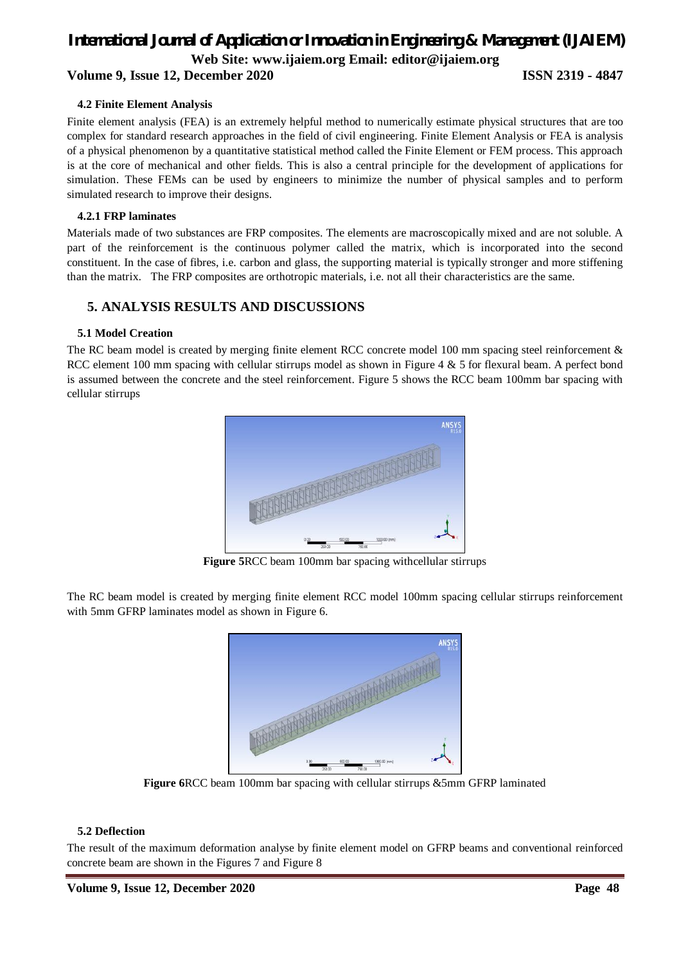## **Volume 9, Issue 12, December 2020 ISSN 2319 - 4847**

## **4.2 Finite Element Analysis**

Finite element analysis (FEA) is an extremely helpful method to numerically estimate physical structures that are too complex for standard research approaches in the field of civil engineering. Finite Element Analysis or FEA is analysis of a physical phenomenon by a quantitative statistical method called the Finite Element or FEM process. This approach is at the core of mechanical and other fields. This is also a central principle for the development of applications for simulation. These FEMs can be used by engineers to minimize the number of physical samples and to perform simulated research to improve their designs.

## **4.2.1 FRP laminates**

Materials made of two substances are FRP composites. The elements are macroscopically mixed and are not soluble. A part of the reinforcement is the continuous polymer called the matrix, which is incorporated into the second constituent. In the case of fibres, i.e. carbon and glass, the supporting material is typically stronger and more stiffening than the matrix. The FRP composites are orthotropic materials, i.e. not all their characteristics are the same.

## **5. ANALYSIS RESULTS AND DISCUSSIONS**

## **5.1 Model Creation**

The RC beam model is created by merging finite element RCC concrete model 100 mm spacing steel reinforcement & RCC element 100 mm spacing with cellular stirrups model as shown in Figure 4 & 5 for flexural beam. A perfect bond is assumed between the concrete and the steel reinforcement. Figure 5 shows the RCC beam 100mm bar spacing with cellular stirrups



**Figure 5**RCC beam 100mm bar spacing withcellular stirrups

The RC beam model is created by merging finite element RCC model 100mm spacing cellular stirrups reinforcement with 5mm GFRP laminates model as shown in Figure 6.



**Figure 6**RCC beam 100mm bar spacing with cellular stirrups &5mm GFRP laminated

### **5.2 Deflection**

The result of the maximum deformation analyse by finite element model on GFRP beams and conventional reinforced concrete beam are shown in the Figures 7 and Figure 8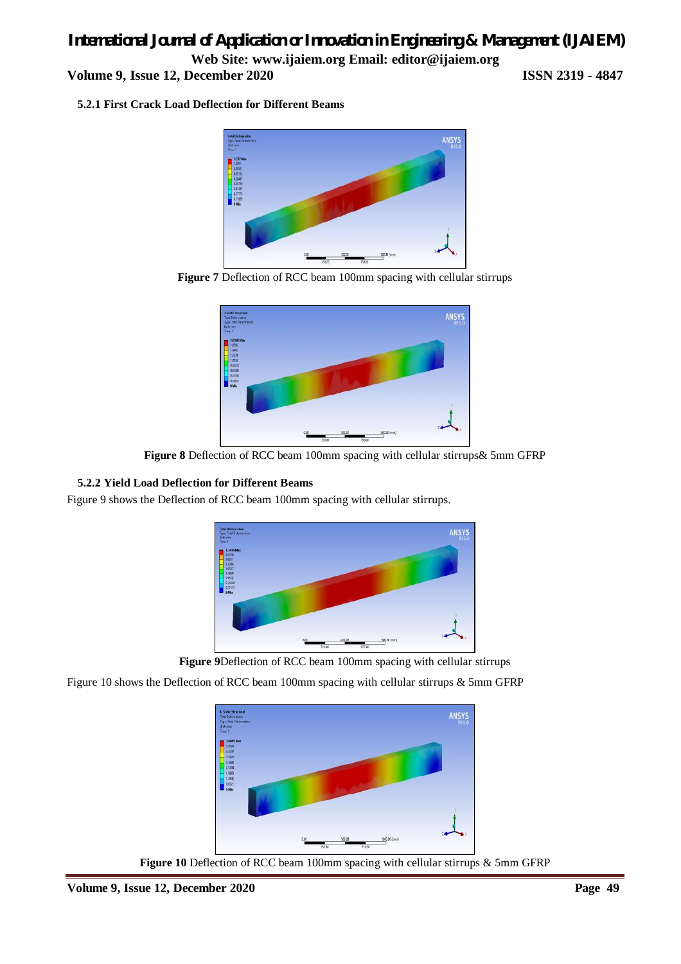**Volume 9, Issue 12, December 2020 ISSN 2319 - 4847**

**5.2.1 First Crack Load Deflection for Different Beams**



**Figure 7** Deflection of RCC beam 100mm spacing with cellular stirrups



**Figure 8** Deflection of RCC beam 100mm spacing with cellular stirrups& 5mm GFRP

## **5.2.2 Yield Load Deflection for Different Beams**

Figure 9 shows the Deflection of RCC beam 100mm spacing with cellular stirrups.



**Figure 9**Deflection of RCC beam 100mm spacing with cellular stirrups

Figure 10 shows the Deflection of RCC beam 100mm spacing with cellular stirrups & 5mm GFRP



**Figure 10** Deflection of RCC beam 100mm spacing with cellular stirrups & 5mm GFRP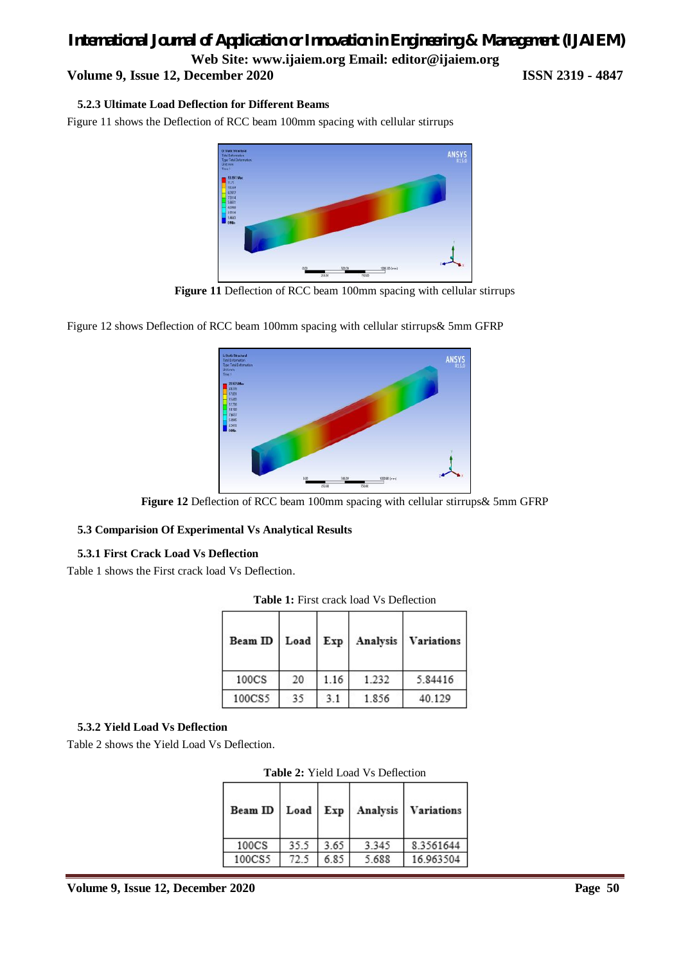## *International Journal of Application or Innovation in Engineering & Management (IJAIEM)*

**Web Site: www.ijaiem.org Email: editor@ijaiem.org**

**Volume 9, Issue 12, December 2020 ISSN 2319 - 4847**

## **5.2.3 Ultimate Load Deflection for Different Beams**

Figure 11 shows the Deflection of RCC beam 100mm spacing with cellular stirrups



**Figure 11** Deflection of RCC beam 100mm spacing with cellular stirrups

Figure 12 shows Deflection of RCC beam 100mm spacing with cellular stirrups& 5mm GFRP



**Figure 12** Deflection of RCC beam 100mm spacing with cellular stirrups& 5mm GFRP

## **5.3 Comparision Of Experimental Vs Analytical Results**

## **5.3.1 First Crack Load Vs Deflection**

Table 1 shows the First crack load Vs Deflection.

| Beam ID | Load | Exp  | Analysis | <b>Variations</b> |
|---------|------|------|----------|-------------------|
| 100CS   | 20   | 1.16 | 1.232    | 5.84416           |
| 100CS5  | 35   | 3.1  | 1.856    | 40.129            |

**Table 1:** First crack load Vs Deflection

## **5.3.2 Yield Load Vs Deflection**

Table 2 shows the Yield Load Vs Deflection.

|  | <b>Table 2:</b> Yield Load Vs Deflection |
|--|------------------------------------------|
|  |                                          |

| Beam ID           | Load | Exp  |       | Analysis   Variations |
|-------------------|------|------|-------|-----------------------|
| 100 <sub>CS</sub> | 35.5 | 3.65 | 3.345 | 8.3561644             |
| 100CS5            | 72.5 | 6.85 | 5.688 | 16.963504             |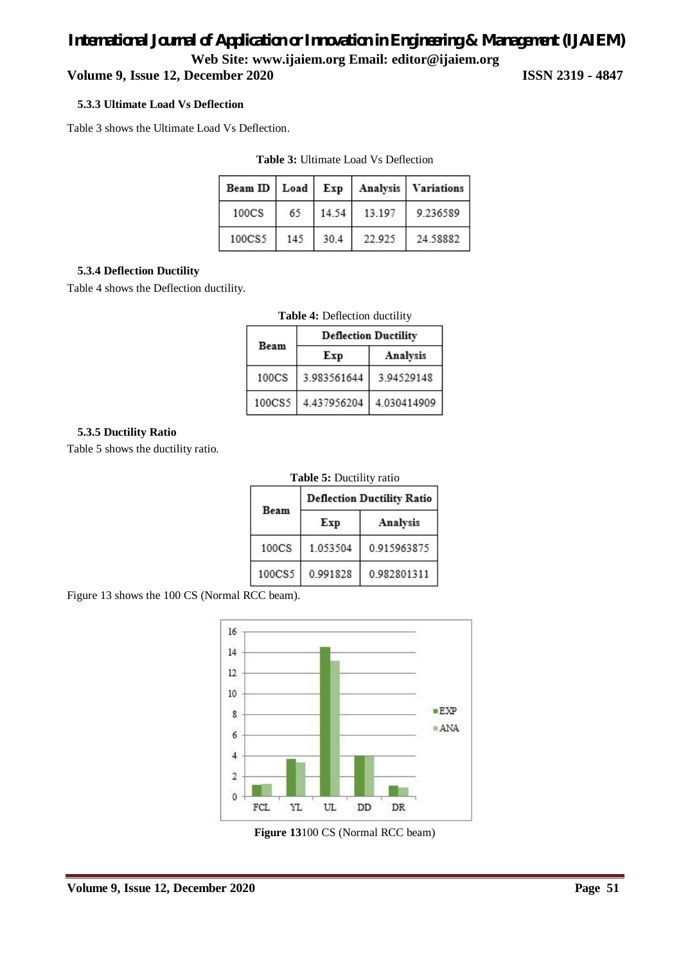## **Volume 9, Issue 12, December 2020 ISSN 2319 - 4847**

### **5.3.3 Ultimate Load Vs Deflection**

Table 3 shows the Ultimate Load Vs Deflection.

| Beam ID Load |     | Exp   |        | Analysis   Variations |
|--------------|-----|-------|--------|-----------------------|
| 100CS        | 65  | 14.54 | 13.197 | 9.236589              |
| 100CS5       | 145 | 30.4  | 22.925 | 24.58882              |

**Table 3:** Ultimate Load Vs Deflection

## **5.3.4 Deflection Ductility**

Table 4 shows the Deflection ductility.

|                   | <b>Deflection Ductility</b> |             |  |  |
|-------------------|-----------------------------|-------------|--|--|
| Beam              | Exp                         | Analysis    |  |  |
| 100 <sub>CS</sub> | 3.983561644                 | 3.94529148  |  |  |
| 100CS5            | 4.437956204                 | 4.030414909 |  |  |

**Table 4:** Deflection ductility

## **5.3.5 Ductility Ratio**

Table 5 shows the ductility ratio.

|  | Table 5: Ductility ratio |  |
|--|--------------------------|--|
|  |                          |  |

| Beam   | <b>Deflection Ductility Ratio</b> |             |  |  |
|--------|-----------------------------------|-------------|--|--|
|        | Exp                               | Analysis    |  |  |
| 100CS  | 1.053504                          | 0.915963875 |  |  |
| 100CS5 | 0.991828                          | 0.982801311 |  |  |

Figure 13 shows the 100 CS (Normal RCC beam).



**Figure 13**100 CS (Normal RCC beam)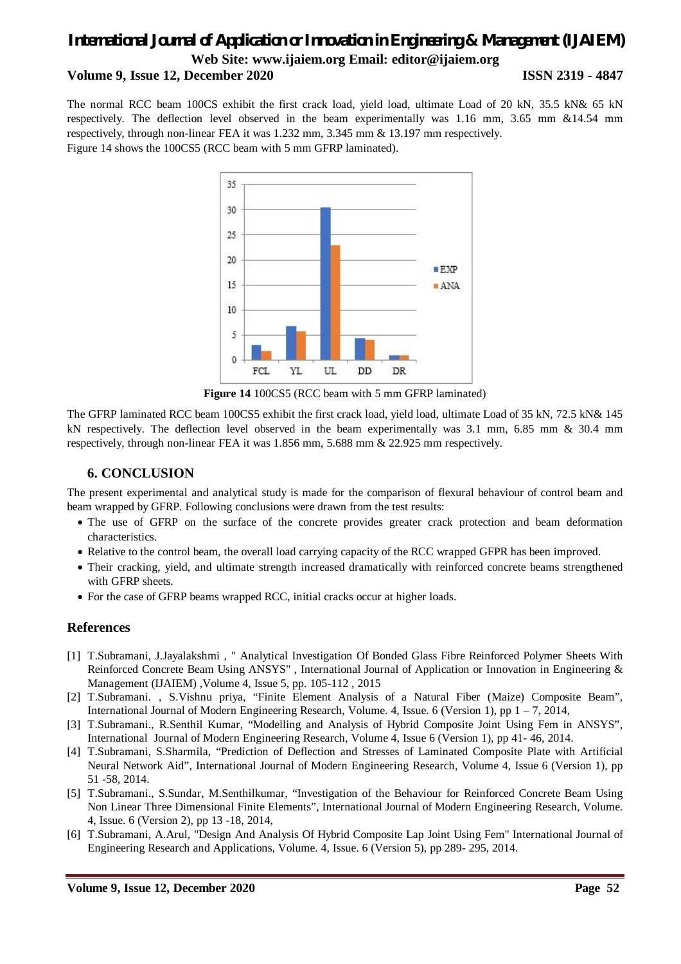## *International Journal of Application or Innovation in Engineering & Management (IJAIEM)* **Web Site: www.ijaiem.org Email: editor@ijaiem.org Volume 9, Issue 12, December 2020 ISSN 2319 - 4847**

The normal RCC beam 100CS exhibit the first crack load, yield load, ultimate Load of 20 kN, 35.5 kN& 65 kN respectively. The deflection level observed in the beam experimentally was 1.16 mm, 3.65 mm &14.54 mm respectively, through non-linear FEA it was 1.232 mm, 3.345 mm & 13.197 mm respectively. Figure 14 shows the 100CS5 (RCC beam with 5 mm GFRP laminated).



**Figure 14** 100CS5 (RCC beam with 5 mm GFRP laminated)

The GFRP laminated RCC beam 100CS5 exhibit the first crack load, yield load, ultimate Load of 35 kN, 72.5 kN& 145 kN respectively. The deflection level observed in the beam experimentally was 3.1 mm, 6.85 mm & 30.4 mm respectively, through non-linear FEA it was 1.856 mm, 5.688 mm & 22.925 mm respectively.

## **6. CONCLUSION**

The present experimental and analytical study is made for the comparison of flexural behaviour of control beam and beam wrapped by GFRP. Following conclusions were drawn from the test results:

- The use of GFRP on the surface of the concrete provides greater crack protection and beam deformation characteristics.
- Relative to the control beam, the overall load carrying capacity of the RCC wrapped GFPR has been improved.
- Their cracking, yield, and ultimate strength increased dramatically with reinforced concrete beams strengthened with GFRP sheets.
- For the case of GFRP beams wrapped RCC, initial cracks occur at higher loads.

## **References**

- [1] T.Subramani, J.Jayalakshmi , " Analytical Investigation Of Bonded Glass Fibre Reinforced Polymer Sheets With Reinforced Concrete Beam Using ANSYS" , International Journal of Application or Innovation in Engineering & Management (IJAIEM) ,Volume 4, Issue 5, pp. 105-112 , 2015
- [2] T.Subramani. , S.Vishnu priya, "Finite Element Analysis of a Natural Fiber (Maize) Composite Beam", International Journal of Modern Engineering Research, Volume. 4, Issue. 6 (Version 1), pp 1 – 7, 2014,
- [3] T.Subramani., R.Senthil Kumar, "Modelling and Analysis of Hybrid Composite Joint Using Fem in ANSYS", International Journal of Modern Engineering Research, Volume 4, Issue 6 (Version 1), pp 41- 46, 2014.
- [4] T.Subramani, S.Sharmila, "Prediction of Deflection and Stresses of Laminated Composite Plate with Artificial Neural Network Aid", International Journal of Modern Engineering Research, Volume 4, Issue 6 (Version 1), pp 51 -58, 2014.
- [5] T.Subramani., S.Sundar, M.Senthilkumar, "Investigation of the Behaviour for Reinforced Concrete Beam Using Non Linear Three Dimensional Finite Elements", International Journal of Modern Engineering Research, Volume. 4, Issue. 6 (Version 2), pp 13 -18, 2014,
- [6] T.Subramani, A.Arul, "Design And Analysis Of Hybrid Composite Lap Joint Using Fem" International Journal of Engineering Research and Applications, Volume. 4, Issue. 6 (Version 5), pp 289- 295, 2014.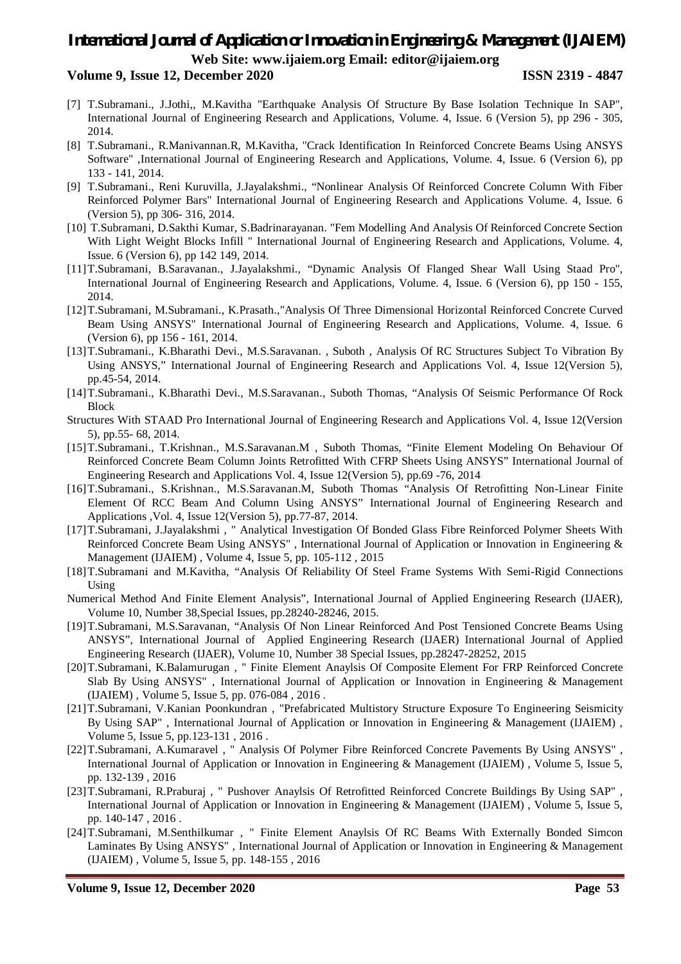## **Volume 9, Issue 12, December 2020 ISSN 2319 - 4847**

- [7] T.Subramani., J.Jothi,, M.Kavitha "Earthquake Analysis Of Structure By Base Isolation Technique In SAP", International Journal of Engineering Research and Applications, Volume. 4, Issue. 6 (Version 5), pp 296 - 305, 2014.
- [8] T.Subramani., R.Manivannan.R, M.Kavitha, "Crack Identification In Reinforced Concrete Beams Using ANSYS Software" ,International Journal of Engineering Research and Applications, Volume. 4, Issue. 6 (Version 6), pp 133 - 141, 2014.
- [9] T.Subramani., Reni Kuruvilla, J.Jayalakshmi., "Nonlinear Analysis Of Reinforced Concrete Column With Fiber Reinforced Polymer Bars" International Journal of Engineering Research and Applications Volume. 4, Issue. 6 (Version 5), pp 306- 316, 2014.
- [10] T.Subramani, D.Sakthi Kumar, S.Badrinarayanan. "Fem Modelling And Analysis Of Reinforced Concrete Section With Light Weight Blocks Infill " International Journal of Engineering Research and Applications, Volume. 4, Issue. 6 (Version 6), pp 142 149, 2014.
- [11]T.Subramani, B.Saravanan., J.Jayalakshmi., "Dynamic Analysis Of Flanged Shear Wall Using Staad Pro", International Journal of Engineering Research and Applications, Volume. 4, Issue. 6 (Version 6), pp 150 - 155, 2014.
- [12]T.Subramani, M.Subramani., K.Prasath.,"Analysis Of Three Dimensional Horizontal Reinforced Concrete Curved Beam Using ANSYS" International Journal of Engineering Research and Applications, Volume. 4, Issue. 6 (Version 6), pp 156 - 161, 2014.
- [13]T.Subramani., K.Bharathi Devi., M.S.Saravanan. , Suboth , Analysis Of RC Structures Subject To Vibration By Using ANSYS," International Journal of Engineering Research and Applications Vol. 4, Issue 12(Version 5), pp.45-54, 2014.
- [14]T.Subramani., K.Bharathi Devi., M.S.Saravanan., Suboth Thomas, "Analysis Of Seismic Performance Of Rock Block
- Structures With STAAD Pro International Journal of Engineering Research and Applications Vol. 4, Issue 12(Version 5), pp.55- 68, 2014.
- [15]T.Subramani., T.Krishnan., M.S.Saravanan.M , Suboth Thomas, "Finite Element Modeling On Behaviour Of Reinforced Concrete Beam Column Joints Retrofitted With CFRP Sheets Using ANSYS" International Journal of Engineering Research and Applications Vol. 4, Issue 12(Version 5), pp.69 -76, 2014
- [16]T.Subramani., S.Krishnan., M.S.Saravanan.M, Suboth Thomas "Analysis Of Retrofitting Non-Linear Finite Element Of RCC Beam And Column Using ANSYS" International Journal of Engineering Research and Applications ,Vol. 4, Issue 12(Version 5), pp.77-87, 2014.
- [17]T.Subramani, J.Jayalakshmi , " Analytical Investigation Of Bonded Glass Fibre Reinforced Polymer Sheets With Reinforced Concrete Beam Using ANSYS" , International Journal of Application or Innovation in Engineering & Management (IJAIEM) , Volume 4, Issue 5, pp. 105-112 , 2015
- [18]T.Subramani and M.Kavitha, "Analysis Of Reliability Of Steel Frame Systems With Semi-Rigid Connections Using
- Numerical Method And Finite Element Analysis", International Journal of Applied Engineering Research (IJAER), Volume 10, Number 38,Special Issues, pp.28240-28246, 2015.
- [19]T.Subramani, M.S.Saravanan, "Analysis Of Non Linear Reinforced And Post Tensioned Concrete Beams Using ANSYS", International Journal of Applied Engineering Research (IJAER) International Journal of Applied Engineering Research (IJAER), Volume 10, Number 38 Special Issues, pp.28247-28252, 2015
- [20]T.Subramani, K.Balamurugan , " Finite Element Anaylsis Of Composite Element For FRP Reinforced Concrete Slab By Using ANSYS" , International Journal of Application or Innovation in Engineering & Management (IJAIEM) , Volume 5, Issue 5, pp. 076-084 , 2016 .
- [21]T.Subramani, V.Kanian Poonkundran , "Prefabricated Multistory Structure Exposure To Engineering Seismicity By Using SAP" , International Journal of Application or Innovation in Engineering & Management (IJAIEM) , Volume 5, Issue 5, pp.123-131 , 2016 .
- [22]T.Subramani, A.Kumaravel , " Analysis Of Polymer Fibre Reinforced Concrete Pavements By Using ANSYS" , International Journal of Application or Innovation in Engineering & Management (IJAIEM) , Volume 5, Issue 5, pp. 132-139 , 2016
- [23]T.Subramani, R.Praburaj , " Pushover Anaylsis Of Retrofitted Reinforced Concrete Buildings By Using SAP" , International Journal of Application or Innovation in Engineering & Management (IJAIEM) , Volume 5, Issue 5, pp. 140-147 , 2016 .
- [24]T.Subramani, M.Senthilkumar , " Finite Element Anaylsis Of RC Beams With Externally Bonded Simcon Laminates By Using ANSYS" , International Journal of Application or Innovation in Engineering & Management (IJAIEM) , Volume 5, Issue 5, pp. 148-155 , 2016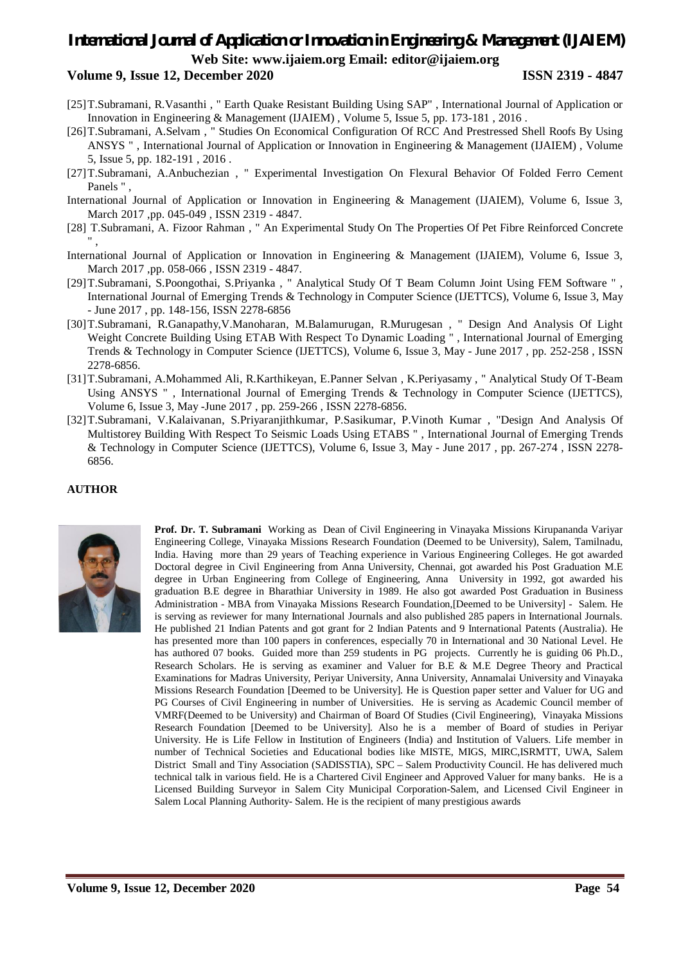### **Volume 9, Issue 12, December 2020 ISSN 2319 - 4847**

- [25]T.Subramani, R.Vasanthi , " Earth Quake Resistant Building Using SAP" , International Journal of Application or Innovation in Engineering & Management (IJAIEM) , Volume 5, Issue 5, pp. 173-181 , 2016 .
- [26]T.Subramani, A.Selvam , " Studies On Economical Configuration Of RCC And Prestressed Shell Roofs By Using ANSYS " , International Journal of Application or Innovation in Engineering & Management (IJAIEM) , Volume 5, Issue 5, pp. 182-191 , 2016 .
- [27]T.Subramani, A.Anbuchezian , " Experimental Investigation On Flexural Behavior Of Folded Ferro Cement Panels " ,
- International Journal of Application or Innovation in Engineering & Management (IJAIEM), Volume 6, Issue 3, March 2017 ,pp. 045-049 , ISSN 2319 - 4847.
- [28] T.Subramani, A. Fizoor Rahman , " An Experimental Study On The Properties Of Pet Fibre Reinforced Concrete " ,
- International Journal of Application or Innovation in Engineering & Management (IJAIEM), Volume 6, Issue 3, March 2017 ,pp. 058-066 , ISSN 2319 - 4847.
- [29]T.Subramani, S.Poongothai, S.Priyanka , " Analytical Study Of T Beam Column Joint Using FEM Software " , International Journal of Emerging Trends & Technology in Computer Science (IJETTCS), Volume 6, Issue 3, May - June 2017 , pp. 148-156, ISSN 2278-6856
- [30]T.Subramani, R.Ganapathy,V.Manoharan, M.Balamurugan, R.Murugesan , " Design And Analysis Of Light Weight Concrete Building Using ETAB With Respect To Dynamic Loading " , International Journal of Emerging Trends & Technology in Computer Science (IJETTCS), Volume 6, Issue 3, May - June 2017 , pp. 252-258 , ISSN 2278-6856.
- [31]T.Subramani, A.Mohammed Ali, R.Karthikeyan, E.Panner Selvan , K.Periyasamy , " Analytical Study Of T-Beam Using ANSYS ", International Journal of Emerging Trends & Technology in Computer Science (IJETTCS), Volume 6, Issue 3, May -June 2017 , pp. 259-266 , ISSN 2278-6856.
- [32]T.Subramani, V.Kalaivanan, S.Priyaranjithkumar, P.Sasikumar, P.Vinoth Kumar , "Design And Analysis Of Multistorey Building With Respect To Seismic Loads Using ETABS " , International Journal of Emerging Trends & Technology in Computer Science (IJETTCS), Volume 6, Issue 3, May - June 2017 , pp. 267-274 , ISSN 2278- 6856.

### **AUTHOR**



**Prof. Dr. T. Subramani** Working as Dean of Civil Engineering in Vinayaka Missions Kirupananda Variyar Engineering College, Vinayaka Missions Research Foundation (Deemed to be University), Salem, Tamilnadu, India. Having more than 29 years of Teaching experience in Various Engineering Colleges. He got awarded Doctoral degree in Civil Engineering from Anna University, Chennai, got awarded his Post Graduation M.E degree in Urban Engineering from College of Engineering, Anna University in 1992, got awarded his graduation B.E degree in Bharathiar University in 1989. He also got awarded Post Graduation in Business Administration - MBA from Vinayaka Missions Research Foundation,[Deemed to be University] - Salem. He is serving as reviewer for many International Journals and also published 285 papers in International Journals. He published 21 Indian Patents and got grant for 2 Indian Patents and 9 International Patents (Australia). He has presented more than 100 papers in conferences, especially 70 in International and 30 National Level. He has authored 07 books. Guided more than 259 students in PG projects. Currently he is guiding 06 Ph.D., Research Scholars. He is serving as examiner and Valuer for B.E & M.E Degree Theory and Practical Examinations for Madras University, Periyar University, Anna University, Annamalai University and Vinayaka Missions Research Foundation [Deemed to be University]. He is Question paper setter and Valuer for UG and PG Courses of Civil Engineering in number of Universities. He is serving as Academic Council member of VMRF(Deemed to be University) and Chairman of Board Of Studies (Civil Engineering), Vinayaka Missions Research Foundation [Deemed to be University]. Also he is a member of Board of studies in Periyar University. He is Life Fellow in Institution of Engineers (India) and Institution of Valuers. Life member in number of Technical Societies and Educational bodies like MISTE, MIGS, MIRC,ISRMTT, UWA, Salem District Small and Tiny Association (SADISSTIA), SPC – Salem Productivity Council. He has delivered much technical talk in various field. He is a Chartered Civil Engineer and Approved Valuer for many banks. He is a Licensed Building Surveyor in Salem City Municipal Corporation-Salem, and Licensed Civil Engineer in Salem Local Planning Authority- Salem. He is the recipient of many prestigious awards